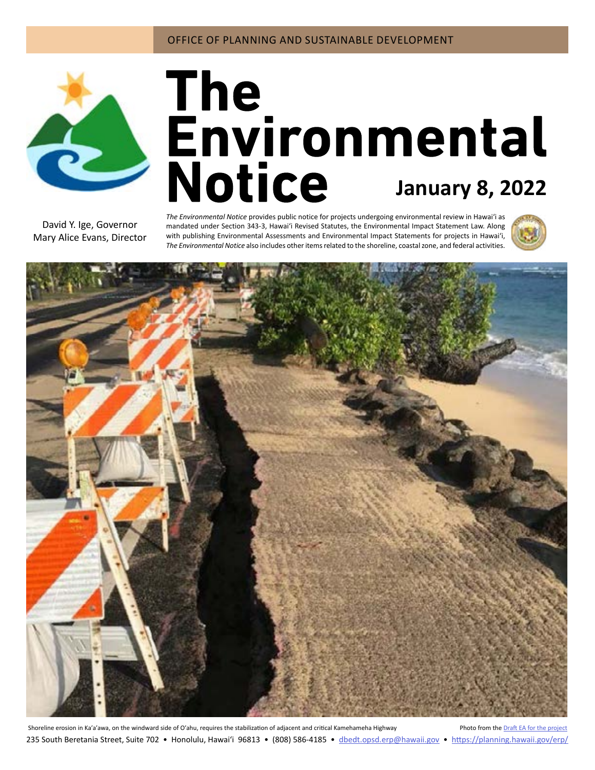

# **January 8, 2022**

David Y. Ige, Governor Mary Alice Evans, Director

*The Environmental Notice* provides public notice for projects undergoing environmental review in Hawaiʻi as mandated under Section 343-3, Hawaiʻi Revised Statutes, the Environmental Impact Statement Law. Along with publishing Environmental Assessments and Environmental Impact Statements for projects in Hawai'i, *The Environmental Notice* also includes other items related to the shoreline, coastal zone, and federal activities.





Shoreline erosion in Ka'a'awa, on the windward side of O'ahu, requires the stabilization of adjacent and critical Kamehameha Highway Photo from the Draft EA for the p 235 South Beretania Street, Suite 702 • Honolulu, Hawai'i 96813 • (808) 586-4185 • dbedt.opsd.erp[@hawaii.gov](mailto:dbedt.opsd.erp%40hawaii.gov?subject=) • <https://planning.hawaii.gov/erp/>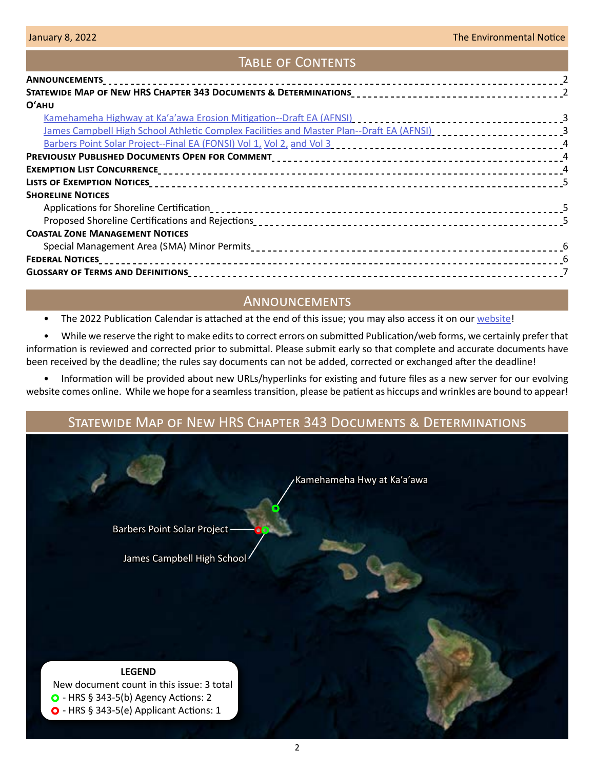## Table of Contents

| $O'$ AHU                                                                                                                                                                                                                       |  |
|--------------------------------------------------------------------------------------------------------------------------------------------------------------------------------------------------------------------------------|--|
|                                                                                                                                                                                                                                |  |
| James Campbell High School Athletic Complex Facilities and Master Plan--Draft EA (AFNSI) [10] [10] James Campbell High School Athletic Complex Facilities and Master Plan-Draft EA (AFNSI) [10] [10] James Campbell High Schoo |  |
|                                                                                                                                                                                                                                |  |
|                                                                                                                                                                                                                                |  |
|                                                                                                                                                                                                                                |  |
|                                                                                                                                                                                                                                |  |
| <b>SHORELINE NOTICES</b>                                                                                                                                                                                                       |  |
|                                                                                                                                                                                                                                |  |
|                                                                                                                                                                                                                                |  |
| <b>COASTAL ZONE MANAGEMENT NOTICES</b>                                                                                                                                                                                         |  |
|                                                                                                                                                                                                                                |  |
|                                                                                                                                                                                                                                |  |
|                                                                                                                                                                                                                                |  |
|                                                                                                                                                                                                                                |  |

# **ANNOUNCEMENTS**

• The 2022 Publication Calendar is attached at the end of this issue; you may also access it on our [website!](https://planning.hawaii.gov/erp/)

• While we reserve the right to make edits to correct errors on submitted Publication/web forms, we certainly prefer that information is reviewed and corrected prior to submittal. Please submit early so that complete and accurate documents have been received by the deadline; the rules say documents can not be added, corrected or exchanged after the deadline!

• Information will be provided about new URLs/hyperlinks for existing and future files as a new server for our evolving website comes online. While we hope for a seamless transition, please be patient as hiccups and wrinkles are bound to appear!

# Statewide Map of New HRS Chapter 343 Documents & Determinations

[Kamehameha Hwy at Kaʹaʹawa](#page-2-0)

[Barbers Point Solar Project](#page-3-0)

[James Campbell High School](#page-2-0)

**LEGEND** New document count in this issue: 3 total O - HRS § 343-5(b) Agency Actions: 2  $\bullet$  - HRS § 343-5(e) Applicant Actions: 1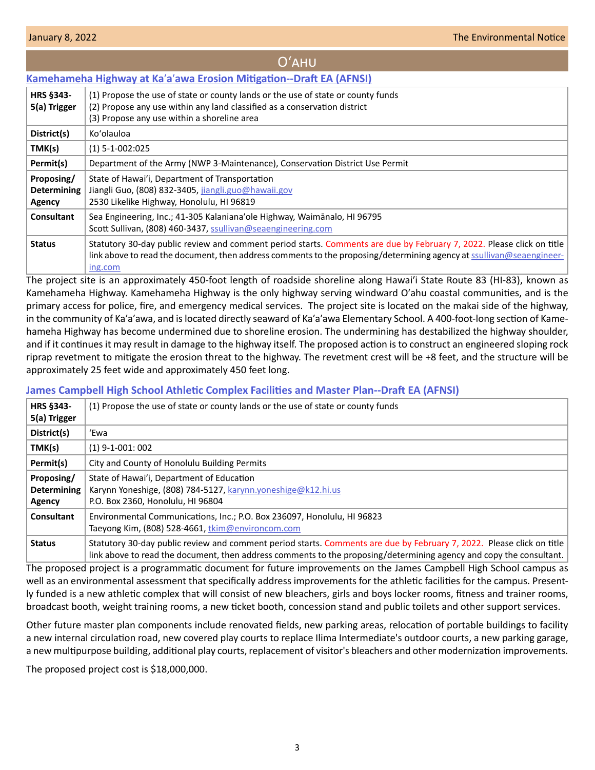# Oʻahu

## <span id="page-2-0"></span>**Kamehameha Highway at Ka**ʹ**a**ʹ**[awa Erosion Mitigation--Draft EA \(AFNSI\)](http://oeqc2.doh.hawaii.gov/Doc_Library/2022-01-08-OA-DEA-Kamehameha-Highway-at-Kaaawa-Erosion-Mitigation.pdf)**

| <b>HRS §343-</b><br>5(a) Trigger           | (1) Propose the use of state or county lands or the use of state or county funds<br>(2) Propose any use within any land classified as a conservation district<br>(3) Propose any use within a shoreline area                                             |
|--------------------------------------------|----------------------------------------------------------------------------------------------------------------------------------------------------------------------------------------------------------------------------------------------------------|
| District(s)                                | Ko'olauloa                                                                                                                                                                                                                                               |
| TMK(s)                                     | $(1) 5 - 1 - 002:025$                                                                                                                                                                                                                                    |
| Permit(s)                                  | Department of the Army (NWP 3-Maintenance), Conservation District Use Permit                                                                                                                                                                             |
| Proposing/<br><b>Determining</b><br>Agency | State of Hawai'i, Department of Transportation<br>Jiangli Guo, (808) 832-3405, jiangli.guo@hawaii.gov<br>2530 Likelike Highway, Honolulu, HI 96819                                                                                                       |
| <b>Consultant</b>                          | Sea Engineering, Inc.; 41-305 Kalaniana'ole Highway, Waimānalo, HI 96795<br>Scott Sullivan, (808) 460-3437, ssullivan@seaengineering.com                                                                                                                 |
| <b>Status</b>                              | Statutory 30-day public review and comment period starts. Comments are due by February 7, 2022. Please click on title<br>link above to read the document, then address comments to the proposing/determining agency at ssullivan@seaengineer-<br>ing.com |

The project site is an approximately 450-foot length of roadside shoreline along Hawaiʹi State Route 83 (HI-83), known as Kamehameha Highway. Kamehameha Highway is the only highway serving windward Oʹahu coastal communities, and is the primary access for police, fire, and emergency medical services. The project site is located on the makai side of the highway, in the community of Ka'a'awa, and is located directly seaward of Ka'a'awa Elementary School. A 400-foot-long section of Kamehameha Highway has become undermined due to shoreline erosion. The undermining has destabilized the highway shoulder, and if it continues it may result in damage to the highway itself. The proposed action is to construct an engineered sloping rock riprap revetment to mitigate the erosion threat to the highway. The revetment crest will be +8 feet, and the structure will be approximately 25 feet wide and approximately 450 feet long.

## **[James Campbell High School Athletic Complex Facilities and Master Plan--Draft EA \(AFNSI\)](http://oeqc2.doh.hawaii.gov/Doc_Library/2022-01-08-OA-DEA-James-Campbell-High-School-Athletic-Complex-Facilities-and-Master-Plan.pdf)**

| HRS §343-<br>5(a) Trigger                  | (1) Propose the use of state or county lands or the use of state or county funds                                                                                                                                                             |
|--------------------------------------------|----------------------------------------------------------------------------------------------------------------------------------------------------------------------------------------------------------------------------------------------|
| District(s)                                | 'Ewa                                                                                                                                                                                                                                         |
| TMK(s)                                     | $(1)$ 9-1-001: 002                                                                                                                                                                                                                           |
| Permit(s)                                  | City and County of Honolulu Building Permits                                                                                                                                                                                                 |
| Proposing/<br><b>Determining</b><br>Agency | State of Hawai'i, Department of Education<br>Karynn Yoneshige, (808) 784-5127, karynn.yoneshige@k12.hi.us<br>P.O. Box 2360, Honolulu, HI 96804                                                                                               |
| <b>Consultant</b>                          | Environmental Communications, Inc.; P.O. Box 236097, Honolulu, HI 96823<br>Taeyong Kim, (808) 528-4661, tkim@environcom.com                                                                                                                  |
| <b>Status</b>                              | Statutory 30-day public review and comment period starts. Comments are due by February 7, 2022. Please click on title<br>link above to read the document, then address comments to the proposing/determining agency and copy the consultant. |

The proposed project is a programmatic document for future improvements on the James Campbell High School campus as well as an environmental assessment that specifically address improvements for the athletic facilities for the campus. Presently funded is a new athletic complex that will consist of new bleachers, girls and boys locker rooms, fitness and trainer rooms, broadcast booth, weight training rooms, a new ticket booth, concession stand and public toilets and other support services.

Other future master plan components include renovated fields, new parking areas, relocation of portable buildings to facility a new internal circulation road, new covered play courts to replace Ilima Intermediate's outdoor courts, a new parking garage, a new multipurpose building, additional play courts, replacement of visitor's bleachers and other modernization improvements.

The proposed project cost is \$18,000,000.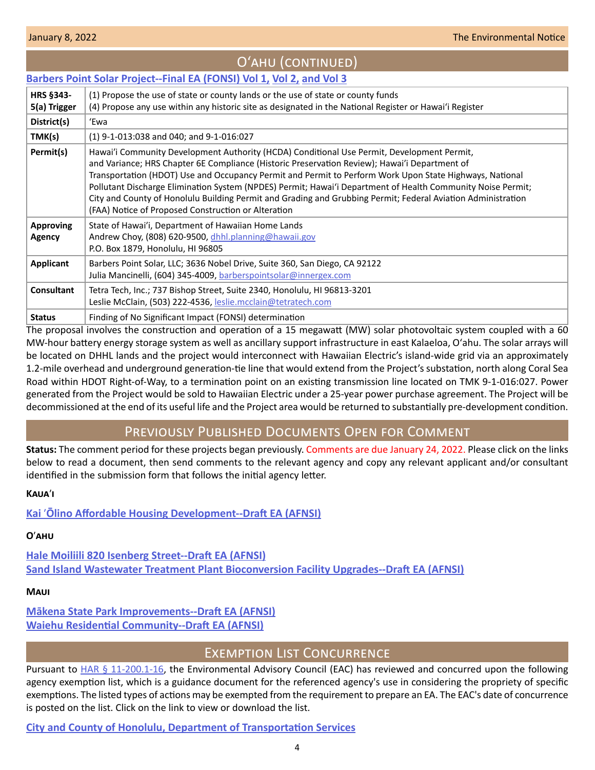<span id="page-3-0"></span>

|                                  | Barbers Point Solar Project--Final EA (FONSI) Vol 1, Vol 2, and Vol 3                                                                                                                                                                                                                                                                                                                                                                                                                                                                                                                        |
|----------------------------------|----------------------------------------------------------------------------------------------------------------------------------------------------------------------------------------------------------------------------------------------------------------------------------------------------------------------------------------------------------------------------------------------------------------------------------------------------------------------------------------------------------------------------------------------------------------------------------------------|
| <b>HRS §343-</b><br>5(a) Trigger | (1) Propose the use of state or county lands or the use of state or county funds<br>(4) Propose any use within any historic site as designated in the National Register or Hawai'i Register                                                                                                                                                                                                                                                                                                                                                                                                  |
| District(s)                      | 'Ewa                                                                                                                                                                                                                                                                                                                                                                                                                                                                                                                                                                                         |
| TMK(s)                           | $(1)$ 9-1-013:038 and 040; and 9-1-016:027                                                                                                                                                                                                                                                                                                                                                                                                                                                                                                                                                   |
| Permit(s)                        | Hawai'i Community Development Authority (HCDA) Conditional Use Permit, Development Permit,<br>and Variance; HRS Chapter 6E Compliance (Historic Preservation Review); Hawai'i Department of<br>Transportation (HDOT) Use and Occupancy Permit and Permit to Perform Work Upon State Highways, National<br>Pollutant Discharge Elimination System (NPDES) Permit; Hawai'i Department of Health Community Noise Permit;<br>City and County of Honolulu Building Permit and Grading and Grubbing Permit; Federal Aviation Administration<br>(FAA) Notice of Proposed Construction or Alteration |
| <b>Approving</b><br>Agency       | State of Hawai'i, Department of Hawaiian Home Lands<br>Andrew Choy, (808) 620-9500, dhhl.planning@hawaii.gov<br>P.O. Box 1879, Honolulu, HI 96805                                                                                                                                                                                                                                                                                                                                                                                                                                            |
| <b>Applicant</b>                 | Barbers Point Solar, LLC; 3636 Nobel Drive, Suite 360, San Diego, CA 92122<br>Julia Mancinelli, (604) 345-4009, barberspointsolar@innergex.com                                                                                                                                                                                                                                                                                                                                                                                                                                               |
| <b>Consultant</b>                | Tetra Tech, Inc.; 737 Bishop Street, Suite 2340, Honolulu, HI 96813-3201<br>Leslie McClain, (503) 222-4536, leslie.mcclain@tetratech.com                                                                                                                                                                                                                                                                                                                                                                                                                                                     |
| <b>Status</b>                    | Finding of No Significant Impact (FONSI) determination                                                                                                                                                                                                                                                                                                                                                                                                                                                                                                                                       |

Oʻahu (continued)

The proposal involves the construction and operation of a 15 megawatt (MW) solar photovoltaic system coupled with a 60 MW-hour battery energy storage system as well as ancillary support infrastructure in east Kalaeloa, Oʻahu. The solar arrays will be located on DHHL lands and the project would interconnect with Hawaiian Electric's island-wide grid via an approximately 1.2-mile overhead and underground generation-tie line that would extend from the Project's substation, north along Coral Sea Road within HDOT Right-of-Way, to a termination point on an existing transmission line located on TMK 9-1-016:027. Power generated from the Project would be sold to Hawaiian Electric under a 25‐year power purchase agreement. The Project will be decommissioned at the end of its useful life and the Project area would be returned to substantially pre-development condition.

# Previously Published Documents Open for Comment

**Status:** The comment period for these projects began previously. Comments are due January 24, 2022. Please click on the links below to read a document, then send comments to the relevant agency and copy any relevant applicant and/or consultant identified in the submission form that follows the initial agency letter.

#### **Kaua**ʹ**i**

**Kai** ʹ**[Ōlino Affordable Housing Development--Draft EA \(AFNSI\)](http://oeqc2.doh.hawaii.gov/Doc_Library/2021-12-23-KA-DEA-Kai-Olino-Affordable-Housing-Development.pdf)**

# **O**ʹ**ahu**

**[Hale Moiliili 820 Isenberg Street--Draft EA \(AFNSI\)](http://oeqc2.doh.hawaii.gov/Doc_Library/2021-12-23-OA-DEA-Hale-Moiliili-820-Isenberg-Street.pdf) [Sand Island Wastewater Treatment Plant Bioconversion Facility Upgrades--Draft EA \(AFNSI\)](http://oeqc2.doh.hawaii.gov/Doc_Library/2021-12-23-OA-DEA-Sand-Island-WWTP-Bioconversion-Facility-Upgrades.pdf)**

#### **Maui**

**[Mākena State Park Improvements--Draft EA \(AFNSI\)](http://oeqc2.doh.hawaii.gov/Doc_Library/2021-12-23-MA-DEA-Makena-State-Park-Improvements.pdf) [Waiehu Residential Community--Draft EA \(AFNSI\)](http://oeqc2.doh.hawaii.gov/Doc_Library/2021-12-23-MA-DEA-Waiehu-Residential-Community.pdf)**

# Exemption List Concurrence

Pursuant to  $HAR \S 11-200.1-16$ , the Environmental Advisory Council (EAC) has reviewed and concurred upon the following agency exemption list, which is a guidance document for the referenced agency's use in considering the propriety of specific exemptions. The listed types of actions may be exempted from the requirement to prepare an EA. The EAC's date of concurrence is posted on the list. Click on the link to view or download the list.

**[City and County of Honolulu, Department of Transportation Services](http://oeqc2.doh.hawaii.gov/Agency_Exemption_Lists/Honolulu-Department-of-Transportation-Services-Exemption-List-2022-01-04.pdf)**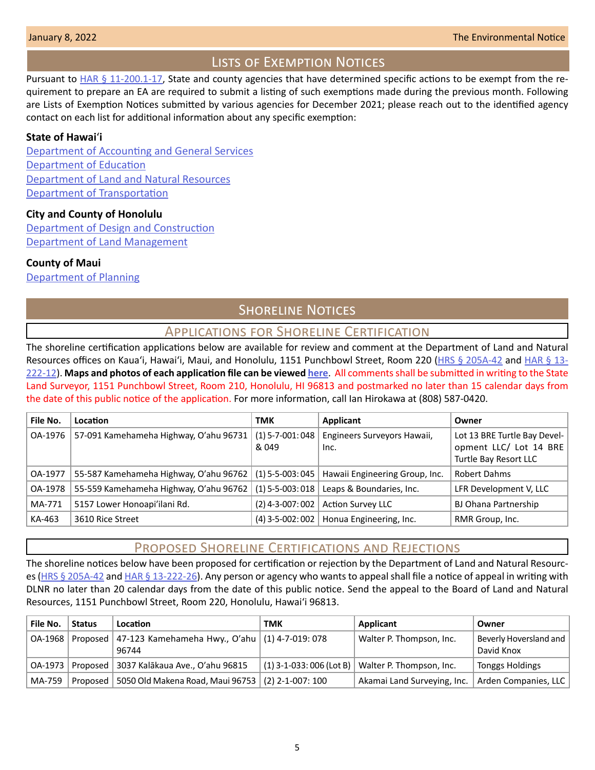# Lists of Exemption Notices

<span id="page-4-0"></span>Pursuant to [HAR § 11-200.1-17](https://health.hawaii.gov/opppd/files/2019/08/11-200.1.pdf), State and county agencies that have determined specific actions to be exempt from the requirement to prepare an EA are required to submit a listing of such exemptions made during the previous month. Following are Lists of Exemption Notices submitted by various agencies for December 2021; please reach out to the identified agency contact on each list for additional information about any specific exemption:

#### **State of Hawai**ʻ**i**

[Department of Accounting and General Services](http://oeqc2.doh.hawaii.gov/List_Ex_Notice/2022-01-08-SOH-DAGS-List-of-Exemptions-Dec-2021.pdf) [Department of Education](http://oeqc2.doh.hawaii.gov/List_Ex_Notice/2022-01-08-SOH-DOE-List-of-Exemptions-Dec-2021.pdf) [Department of Land and Natural Resources](http://oeqc2.doh.hawaii.gov/List_Ex_Notice/2022-01-08-SOH-DLNR-List-of-Exemptions-Dec-2021.pdf) [Department of Transportation](http://oeqc2.doh.hawaii.gov/List_Ex_Notice/2022-01-08-SOH-DOT-List-of-Exemptions-Dec-2021.pdf)

#### **City and County of Honolulu**

[Department of Design and Construction](http://oeqc2.doh.hawaii.gov/List_Ex_Notice/2022-01-08-CCH-DDC-List-of-Exemptions-Dec-2021.pdf) [Department of Land Management](http://oeqc2.doh.hawaii.gov/List_Ex_Notice/2022-01-08-CCH-DLM-List-of-Exemptions-Dec-2021.pdf)

#### **County of Maui**

[Department of Planning](http://oeqc2.doh.hawaii.gov/List_Ex_Notice/2022-01-08-COM-Planning-Dept-List-of-Exemptions-Dec-2021.pdf)

# **SHORELINE NOTICES**

# Applications for Shoreline Certification

The shoreline certification applications below are available for review and comment at the Department of Land and Natural Resources offices on Kaua'i, Hawai'i, Maui, and Honolulu, 1151 Punchbowl Street, Room 220 ([HRS § 205A-42](https://www.capitol.hawaii.gov/hrscurrent/Vol04_Ch0201-0257/HRS0205A/HRS_0205A-0042.htm) and [HAR § 13-](https://dlnr.hawaii.gov/ld/files/2013/07/Ch13-222-Amend-Compil-Stand-Rev1.pdf) [222-12](https://dlnr.hawaii.gov/ld/files/2013/07/Ch13-222-Amend-Compil-Stand-Rev1.pdf)). **Maps and photos of each application file can be viewed [here](https://ags.hawaii.gov/survey/shoreline/#apps)**. All comments shall be submitted in writing to the State Land Surveyor, 1151 Punchbowl Street, Room 210, Honolulu, HI 96813 and postmarked no later than 15 calendar days from the date of this public notice of the application. For more information, call Ian Hirokawa at (808) 587-0420.

| File No. | Location                               | <b>TMK</b>                  | Applicant                                           | Owner                                                                           |
|----------|----------------------------------------|-----------------------------|-----------------------------------------------------|---------------------------------------------------------------------------------|
| OA-1976  | 57-091 Kamehameha Highway, O'ahu 96731 | $(1)$ 5-7-001: 048<br>& 049 | Engineers Surveyors Hawaii,<br>Inc.                 | Lot 13 BRE Turtle Bay Devel-<br>opment LLC/ Lot 14 BRE<br>Turtle Bay Resort LLC |
| OA-1977  | 55-587 Kamehameha Highway, O'ahu 96762 |                             | $(1)$ 5-5-003: 045   Hawaii Engineering Group, Inc. | <b>Robert Dahms</b>                                                             |
| OA-1978  | 55-559 Kamehameha Highway, O'ahu 96762 | $(1)$ 5-5-003: 018          | Leaps & Boundaries, Inc.                            | LFR Development V, LLC                                                          |
| MA-771   | 5157 Lower Honoapi'ilani Rd.           | $(2)$ 4-3-007: 002          | <b>Action Survey LLC</b>                            | BJ Ohana Partnership                                                            |
| KA-463   | 3610 Rice Street                       | $(4)$ 3-5-002: 002          | Honua Engineering, Inc.                             | RMR Group, Inc.                                                                 |

# Proposed Shoreline Certifications and Rejections

The shoreline notices below have been proposed for certification or rejection by the Department of Land and Natural Resourc-es [\(HRS § 205A-42](http://HRS § 205A-42) and [HAR § 13-222-26\)](https://dlnr.hawaii.gov/ld/files/2013/07/Ch13-222-Amend-Compil-Stand-Rev1.pdf). Any person or agency who wants to appeal shall file a notice of appeal in writing with DLNR no later than 20 calendar days from the date of this public notice. Send the appeal to the Board of Land and Natural Resources, 1151 Punchbowl Street, Room 220, Honolulu, Hawai'i 96813.

| File No. | <b>Status</b> | Location                                                               | тмк | Applicant                                             | Owner                                |
|----------|---------------|------------------------------------------------------------------------|-----|-------------------------------------------------------|--------------------------------------|
| OA-1968  |               | Proposed   47-123 Kamehameha Hwy., O'ahu   $(1)$ 4-7-019: 078<br>96744 |     | Walter P. Thompson, Inc.                              | Beverly Hoversland and<br>David Knox |
|          |               | OA-1973   Proposed   3037 Kalākaua Ave., O'ahu 96815                   |     | $(1)$ 3-1-033: 006 (Lot B)   Walter P. Thompson, Inc. | <b>Tonggs Holdings</b>               |
| MA-759   |               | Proposed   5050 Old Makena Road, Maui 96753   (2) 2-1-007: 100         |     | Akamai Land Surveying, Inc.   Arden Companies, LLC    |                                      |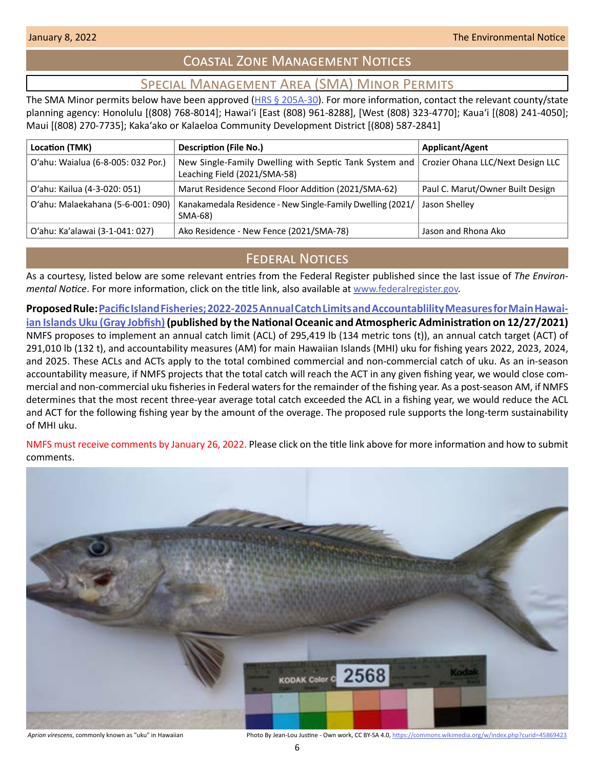# Coastal Zone Management Notices

# Special Management Area (SMA) Minor Permits

<span id="page-5-0"></span>The SMA Minor permits below have been approved (HRS  $\S$  205A-30). For more information, contact the relevant county/state planning agency: Honolulu [(808) 768-8014]; Hawaiʻi [East (808) 961-8288], [West (808) 323-4770]; Kauaʻi [(808) 241-4050]; Maui [(808) 270-7735]; Kakaʻako or Kalaeloa Community Development District [(808) 587-2841]

| Location (TMK)                     | <b>Description (File No.)</b>                                                          | <b>Applicant/Agent</b>            |
|------------------------------------|----------------------------------------------------------------------------------------|-----------------------------------|
| O'ahu: Waialua (6-8-005: 032 Por.) | New Single-Family Dwelling with Septic Tank System and<br>Leaching Field (2021/SMA-58) | Crozier Ohana LLC/Next Design LLC |
| O'ahu: Kailua (4-3-020: 051)       | Marut Residence Second Floor Addition (2021/SMA-62)                                    | Paul C. Marut/Owner Built Design  |
| O'ahu: Malaekahana (5-6-001: 090)  | Kanakamedala Residence - New Single-Family Dwelling (2021/<br>SMA-68)                  | Jason Shelley                     |
| O'ahu: Ka'alawai (3-1-041: 027)    | Ako Residence - New Fence (2021/SMA-78)                                                | Jason and Rhona Ako               |

# **FEDERAL NOTICES**

As a courtesy, listed below are some relevant entries from the Federal Register published since the last issue of *The Environmental Notice*. For more information, click on the title link, also available at [www.federalregister.gov](http://www.federalregister.gov).

**Proposed Rule: [Pacific Island Fisheries; 2022-2025 Annual Catch Limits and Accountablility Measures for Main Hawai](https://www.federalregister.gov/documents/2021/12/27/2021-27794/pacific-island-fisheries-2022-2025-annual-catch-limits-and-accountablility-measures-for-main)[ian Islands Uku \(Gray Jobfish\)](https://www.federalregister.gov/documents/2021/12/27/2021-27794/pacific-island-fisheries-2022-2025-annual-catch-limits-and-accountablility-measures-for-main) (published by the National Oceanic and Atmospheric Administration on 12/27/2021)** NMFS proposes to implement an annual catch limit (ACL) of 295,419 lb (134 metric tons (t)), an annual catch target (ACT) of 291,010 lb (132 t), and accountability measures (AM) for main Hawaiian Islands (MHI) uku for fishing years 2022, 2023, 2024, and 2025. These ACLs and ACTs apply to the total combined commercial and non-commercial catch of uku. As an in-season accountability measure, if NMFS projects that the total catch will reach the ACT in any given fishing year, we would close commercial and non-commercial uku fisheries in Federal waters for the remainder of the fishing year. As a post-season AM, if NMFS determines that the most recent three-year average total catch exceeded the ACL in a fishing year, we would reduce the ACL and ACT for the following fishing year by the amount of the overage. The proposed rule supports the long-term sustainability of MHI uku.

NMFS must receive comments by January 26, 2022. Please click on the title link above for more information and how to submit comments.



*Aprion virescens*, commonly known as "uku" in Hawaiian Photo By Jean-Lou Justine - Own work, CC BY-SA 4.0, <https://commons.wikimedia.org/w/index.php?curid=45869423>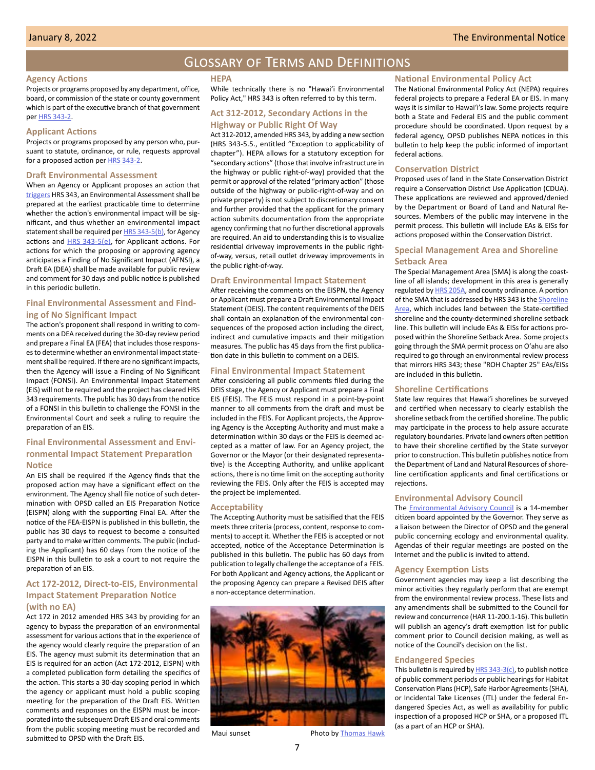#### Glossary of Terms and Definitions

#### <span id="page-6-0"></span>**Agency Actions**

Projects or programs proposed by any department, office, board, or commission of the state or county government which is part of the executive branch of that government per HRS 343-2.

#### **Applicant Actions**

Projects or programs proposed by any person who, pursuant to statute, ordinance, or rule, requests approval for a proposed action per **HRS 343-2**.

#### **Draft Environmental Assessment**

When an Agency or Applicant proposes an action that triggers HRS 343, an Environmental Assessment shall be prepared at the earliest practicable time to determine whether the action's environmental impact will be significant, and thus whether an environmental impact statement shall be required per HRS 343-5(b), for Agency actions and HRS 343-5(e), for Applicant actions. For actions for which the proposing or approving agency anticipates a Finding of No Significant Impact (AFNSI), a Draft EA (DEA) shall be made available for public review and comment for 30 days and public notice is published in this periodic bulletin.

#### **Final Environmental Assessment and Finding of No Significant Impact**

The action's proponent shall respond in writing to comments on a DEA received during the 30-day review period and prepare a Final EA (FEA) that includes those responses to determine whether an environmental impact statement shall be required. If there are no significant impacts, then the Agency will issue a Finding of No Significant Impact (FONSI). An Environmental Impact Statement (EIS) will not be required and the project has cleared HRS 343 requirements. The public has 30 days from the notice of a FONSI in this bulletin to challenge the FONSI in the Environmental Court and seek a ruling to require the preparation of an EIS.

#### **Final Environmental Assessment and Environmental Impact Statement Preparation Notice**

An EIS shall be required if the Agency finds that the proposed action may have a significant effect on the environment. The Agency shall file notice of such determination with OPSD called an EIS Preparation Notice (EISPN) along with the supporting Final EA. After the notice of the FEA-EISPN is published in this bulletin, the public has 30 days to request to become a consulted party and to make written comments. The public (including the Applicant) has 60 days from the notice of the EISPN in this bulletin to ask a court to not require the preparation of an EIS.

#### **Act 172-2012, Direct-to-EIS, Environmental Impact Statement Preparation Notice (with no EA)**

Act 172 in 2012 amended HRS 343 by providing for an agency to bypass the preparation of an environmental assessment for various actions that in the experience of the agency would clearly require the preparation of an EIS. The agency must submit its determination that an EIS is required for an action (Act 172-2012, EISPN) with a completed publication form detailing the specifics of the action. This starts a 30-day scoping period in which the agency or applicant must hold a public scoping meeting for the preparation of the Draft EIS. Written comments and responses on the EISPN must be incorporated into the subsequent Draft EIS and oral comments from the public scoping meeting must be recorded and submitted to OPSD with the Draft EIS.

#### **HEPA**

While technically there is no "Hawaiʻi Environmental Policy Act," HRS 343 is often referred to by this term.

#### **Act 312-2012, Secondary Actions in the Highway or Public Right Of Way**

Act 312-2012, amended HRS 343, by adding a new section (HRS 343-5.5., entitled "Exception to applicability of chapter"). HEPA allows for a statutory exception for "secondary actions" (those that involve infrastructure in the highway or public right-of-way) provided that the permit or approval of the related "primary action" (those outside of the highway or public-right-of-way and on private property) is not subject to discretionary consent and further provided that the applicant for the primary action submits documentation from the appropriate agency confirming that no further discretional approvals are required. An aid to understanding this is to visualize residential driveway improvements in the public rightof-way, versus, retail outlet driveway improvements in the public right-of-way.

#### **Draft Environmental Impact Statement**

After receiving the comments on the EISPN, the Agency or Applicant must prepare a Draft Environmental Impact Statement (DEIS). The content requirements of the DEIS shall contain an explanation of the environmental consequences of the proposed action including the direct, indirect and cumulative impacts and their mitigation measures. The public has 45 days from the first publication date in this bulletin to comment on a DEIS.

#### **Final Environmental Impact Statement**

After considering all public comments filed during the DEIS stage, the Agency or Applicant must prepare a Final EIS (FEIS). The FEIS must respond in a point-by-point manner to all comments from the draft and must be included in the FEIS. For Applicant projects, the Approving Agency is the Accepting Authority and must make a determination within 30 days or the FEIS is deemed accepted as a matter of law. For an Agency project, the Governor or the Mayor (or their designated representative) is the Accepting Authority, and unlike applicant actions, there is no time limit on the accepting authority reviewing the FEIS. Only after the FEIS is accepted may the project be implemented.

#### **Acceptability**

The Accepting Authority must be satisified that the FEIS meets three criteria (process, content, response to comments) to accept it. Whether the FEIS is accepted or not accepted, notice of the Acceptance Determination is published in this bulletin. The public has 60 days from publication to legally challenge the acceptance of a FEIS. For both Applicant and Agency actions, the Applicant or the proposing Agency can prepare a Revised DEIS after a non-acceptance determination.



## **National Environmental Policy Act**

The National Environmental Policy Act (NEPA) requires federal projects to prepare a Federal EA or EIS. In many ways it is similar to Hawaiʻi's law. Some projects require both a State and Federal EIS and the public comment procedure should be coordinated. Upon request by a federal agency, OPSD publishes NEPA notices in this bulletin to help keep the public informed of important federal actions.

#### **Conservation District**

Proposed uses of land in the State Conservation District require a Conservation District Use Application (CDUA). These applications are reviewed and approved/denied by the Department or Board of Land and Natural Resources. Members of the public may intervene in the permit process. This bulletin will include EAs & EISs for actions proposed within the Conservation District.

#### **Special Management Area and Shoreline Setback Area**

The Special Management Area (SMA) is along the coastline of all islands; development in this area is generally regulated by HRS 205A, and county ordinance. A portion of the SMA that is addressed by HRS 343 is the Shoreline Area, which includes land between the State-certified shoreline and the county-determined shoreline setback line. This bulletin will include EAs & EISs for actions proposed within the Shoreline Setback Area. Some projects going through the SMA permit process on Oʻahu are also required to go through an environmental review process that mirrors HRS 343; these "ROH Chapter 25" EAs/EISs are included in this bulletin.

#### **Shoreline Certifications**

State law requires that Hawaiʻi shorelines be surveyed and certified when necessary to clearly establish the shoreline setback from the certified shoreline. The public may participate in the process to help assure accurate regulatory boundaries. Private land owners often petition to have their shoreline certified by the State surveyor prior to construction. This bulletin publishes notice from the Department of Land and Natural Resources of shoreline certification applicants and final certifications or rejections.

#### **Environmental Advisory Council**

The [Environmental Advisory Council](http://health.hawaii.gov/oeqc/environmental-council/) is a 14-member citizen board appointed by the Governor. They serve as a liaison between the Director of OPSD and the general public concerning ecology and environmental quality. Agendas of their regular meetings are posted on the Internet and the public is invited to attend.

#### **Agency Exemption Lists**

Government agencies may keep a list describing the minor activities they regularly perform that are exempt from the environmental review process. These lists and any amendments shall be submitted to the Council for review and concurrence (HAR 11-200.1-16). This bulletin will publish an agency's draft exemption list for public comment prior to Council decision making, as well as notice of the Council's decision on the list.

#### **Endangered Species**

This bulletin is required by  $HRS$  343-3(c), to publish notice of public comment periods or public hearings for Habitat Conservation Plans (HCP), Safe Harbor Agreements (SHA), or Incidental Take Licenses (ITL) under the federal Endangered Species Act, as well as availability for public inspection of a proposed HCP or SHA, or a proposed ITL (as a part of an HCP or SHA).

7

Maui sunset Photo by [Thomas Hawk](https://www.flickr.com/photos/thomashawk/44345854144/in/album-72157633298280912/)